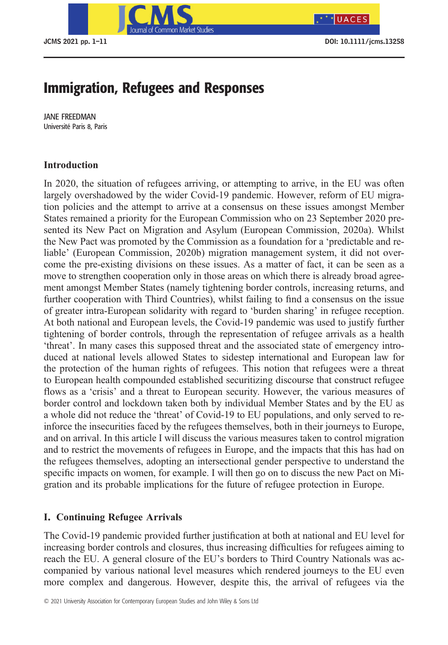

 $*$ UACES

# Immigration, Refugees and Responses

JANE FREEDMAN Université Paris 8, Paris

# **Introduction**

In 2020, the situation of refugees arriving, or attempting to arrive, in the EU was often largely overshadowed by the wider Covid-19 pandemic. However, reform of EU migration policies and the attempt to arrive at a consensus on these issues amongst Member States remained a priority for the European Commission who on 23 September 2020 presented its New Pact on Migration and Asylum (European Commission, 2020a). Whilst the New Pact was promoted by the Commission as a foundation for a 'predictable and reliable' (European Commission, 2020b) migration management system, it did not overcome the pre-existing divisions on these issues. As a matter of fact, it can be seen as a move to strengthen cooperation only in those areas on which there is already broad agreement amongst Member States (namely tightening border controls, increasing returns, and further cooperation with Third Countries), whilst failing to find a consensus on the issue of greater intra-European solidarity with regard to 'burden sharing' in refugee reception. At both national and European levels, the Covid-19 pandemic was used to justify further tightening of border controls, through the representation of refugee arrivals as a health 'threat'. In many cases this supposed threat and the associated state of emergency introduced at national levels allowed States to sidestep international and European law for the protection of the human rights of refugees. This notion that refugees were a threat to European health compounded established securitizing discourse that construct refugee flows as a 'crisis' and a threat to European security. However, the various measures of border control and lockdown taken both by individual Member States and by the EU as a whole did not reduce the 'threat' of Covid-19 to EU populations, and only served to reinforce the insecurities faced by the refugees themselves, both in their journeys to Europe, and on arrival. In this article I will discuss the various measures taken to control migration and to restrict the movements of refugees in Europe, and the impacts that this has had on the refugees themselves, adopting an intersectional gender perspective to understand the specific impacts on women, for example. I will then go on to discuss the new Pact on Migration and its probable implications for the future of refugee protection in Europe.

# **I. Continuing Refugee Arrivals**

The Covid-19 pandemic provided further justification at both at national and EU level for increasing border controls and closures, thus increasing difficulties for refugees aiming to reach the EU. A general closure of the EU's borders to Third Country Nationals was accompanied by various national level measures which rendered journeys to the EU even more complex and dangerous. However, despite this, the arrival of refugees via the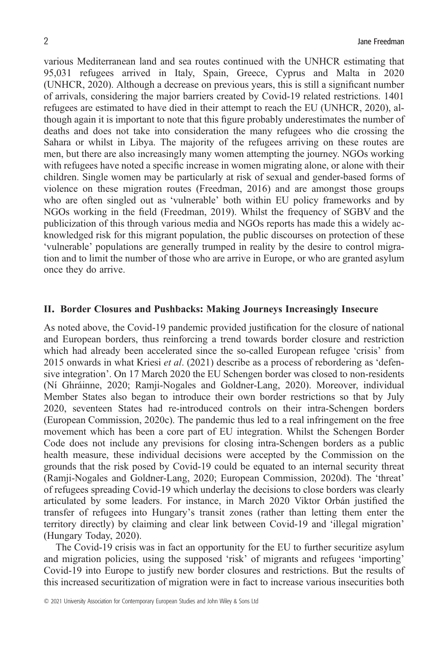various Mediterranean land and sea routes continued with the UNHCR estimating that 95,031 refugees arrived in Italy, Spain, Greece, Cyprus and Malta in 2020 (UNHCR, 2020). Although a decrease on previous years, this is still a significant number of arrivals, considering the major barriers created by Covid-19 related restrictions. 1401 refugees are estimated to have died in their attempt to reach the EU (UNHCR, 2020), although again it is important to note that this figure probably underestimates the number of deaths and does not take into consideration the many refugees who die crossing the Sahara or whilst in Libya. The majority of the refugees arriving on these routes are men, but there are also increasingly many women attempting the journey. NGOs working with refugees have noted a specific increase in women migrating alone, or alone with their children. Single women may be particularly at risk of sexual and gender-based forms of violence on these migration routes (Freedman, 2016) and are amongst those groups who are often singled out as 'vulnerable' both within EU policy frameworks and by NGOs working in the field (Freedman, 2019). Whilst the frequency of SGBV and the publicization of this through various media and NGOs reports has made this a widely acknowledged risk for this migrant population, the public discourses on protection of these 'vulnerable' populations are generally trumped in reality by the desire to control migration and to limit the number of those who are arrive in Europe, or who are granted asylum once they do arrive.

#### **II. Border Closures and Pushbacks: Making Journeys Increasingly Insecure**

As noted above, the Covid-19 pandemic provided justification for the closure of national and European borders, thus reinforcing a trend towards border closure and restriction which had already been accelerated since the so-called European refugee 'crisis' from 2015 onwards in what Kriesi *et al*. (2021) describe as a process of rebordering as 'defensive integration'. On 17 March 2020 the EU Schengen border was closed to non-residents (Ní Ghráinne, 2020; Ramji-Nogales and Goldner-Lang, 2020). Moreover, individual Member States also began to introduce their own border restrictions so that by July 2020, seventeen States had re-introduced controls on their intra-Schengen borders (European Commission, 2020c). The pandemic thus led to a real infringement on the free movement which has been a core part of EU integration. Whilst the Schengen Border Code does not include any previsions for closing intra-Schengen borders as a public health measure, these individual decisions were accepted by the Commission on the grounds that the risk posed by Covid-19 could be equated to an internal security threat (Ramji-Nogales and Goldner-Lang, 2020; European Commission, 2020d). The 'threat' of refugees spreading Covid-19 which underlay the decisions to close borders was clearly articulated by some leaders. For instance, in March 2020 Viktor Orbán justified the transfer of refugees into Hungary's transit zones (rather than letting them enter the territory directly) by claiming and clear link between Covid-19 and 'illegal migration' (Hungary Today, 2020).

The Covid-19 crisis was in fact an opportunity for the EU to further securitize asylum and migration policies, using the supposed 'risk' of migrants and refugees 'importing' Covid-19 into Europe to justify new border closures and restrictions. But the results of this increased securitization of migration were in fact to increase various insecurities both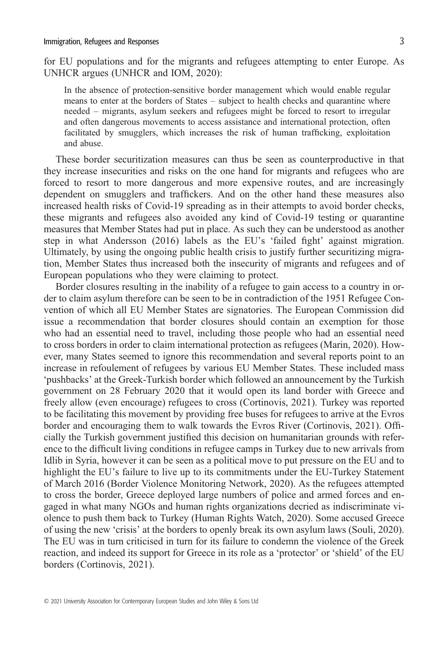for EU populations and for the migrants and refugees attempting to enter Europe. As UNHCR argues (UNHCR and IOM, 2020):

In the absence of protection-sensitive border management which would enable regular means to enter at the borders of States – subject to health checks and quarantine where needed – migrants, asylum seekers and refugees might be forced to resort to irregular and often dangerous movements to access assistance and international protection, often facilitated by smugglers, which increases the risk of human trafficking, exploitation and abuse.

These border securitization measures can thus be seen as counterproductive in that they increase insecurities and risks on the one hand for migrants and refugees who are forced to resort to more dangerous and more expensive routes, and are increasingly dependent on smugglers and traffickers. And on the other hand these measures also increased health risks of Covid-19 spreading as in their attempts to avoid border checks, these migrants and refugees also avoided any kind of Covid-19 testing or quarantine measures that Member States had put in place. As such they can be understood as another step in what Andersson (2016) labels as the EU's 'failed fight' against migration. Ultimately, by using the ongoing public health crisis to justify further securitizing migration, Member States thus increased both the insecurity of migrants and refugees and of European populations who they were claiming to protect.

Border closures resulting in the inability of a refugee to gain access to a country in order to claim asylum therefore can be seen to be in contradiction of the 1951 Refugee Convention of which all EU Member States are signatories. The European Commission did issue a recommendation that border closures should contain an exemption for those who had an essential need to travel, including those people who had an essential need to cross borders in order to claim international protection as refugees (Marin, 2020). However, many States seemed to ignore this recommendation and several reports point to an increase in refoulement of refugees by various EU Member States. These included mass 'pushbacks' at the Greek-Turkish border which followed an announcement by the Turkish government on 28 February 2020 that it would open its land border with Greece and freely allow (even encourage) refugees to cross (Cortinovis, 2021). Turkey was reported to be facilitating this movement by providing free buses for refugees to arrive at the Evros border and encouraging them to walk towards the Evros River (Cortinovis, 2021). Officially the Turkish government justified this decision on humanitarian grounds with reference to the difficult living conditions in refugee camps in Turkey due to new arrivals from Idlib in Syria, however it can be seen as a political move to put pressure on the EU and to highlight the EU's failure to live up to its commitments under the EU-Turkey Statement of March 2016 (Border Violence Monitoring Network, 2020). As the refugees attempted to cross the border, Greece deployed large numbers of police and armed forces and engaged in what many NGOs and human rights organizations decried as indiscriminate violence to push them back to Turkey (Human Rights Watch, 2020). Some accused Greece of using the new 'crisis' at the borders to openly break its own asylum laws (Souli, 2020). The EU was in turn criticised in turn for its failure to condemn the violence of the Greek reaction, and indeed its support for Greece in its role as a 'protector' or 'shield' of the EU borders (Cortinovis, 2021).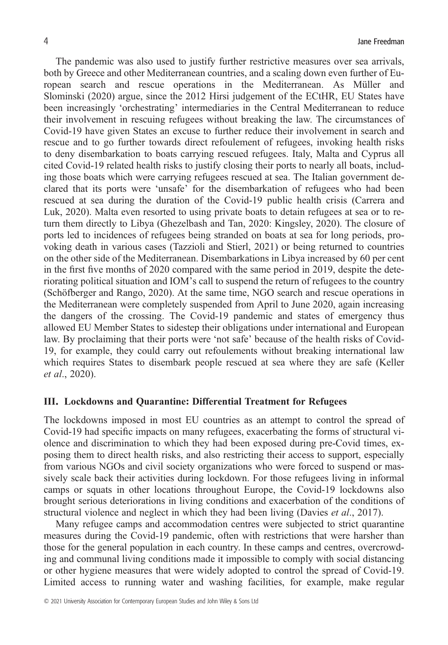The pandemic was also used to justify further restrictive measures over sea arrivals, both by Greece and other Mediterranean countries, and a scaling down even further of European search and rescue operations in the Mediterranean. As Müller and Slominski (2020) argue, since the 2012 Hirsi judgement of the ECtHR, EU States have been increasingly 'orchestrating' intermediaries in the Central Mediterranean to reduce their involvement in rescuing refugees without breaking the law. The circumstances of Covid-19 have given States an excuse to further reduce their involvement in search and rescue and to go further towards direct refoulement of refugees, invoking health risks to deny disembarkation to boats carrying rescued refugees. Italy, Malta and Cyprus all cited Covid-19 related health risks to justify closing their ports to nearly all boats, including those boats which were carrying refugees rescued at sea. The Italian government declared that its ports were 'unsafe' for the disembarkation of refugees who had been rescued at sea during the duration of the Covid-19 public health crisis (Carrera and Luk, 2020). Malta even resorted to using private boats to detain refugees at sea or to return them directly to Libya (Ghezelbash and Tan, 2020: Kingsley, 2020). The closure of ports led to incidences of refugees being stranded on boats at sea for long periods, provoking death in various cases (Tazzioli and Stierl, 2021) or being returned to countries on the other side of the Mediterranean. Disembarkations in Libya increased by 60 per cent in the first five months of 2020 compared with the same period in 2019, despite the deteriorating political situation and IOM's call to suspend the return of refugees to the country (Schöfberger and Rango, 2020). At the same time, NGO search and rescue operations in the Mediterranean were completely suspended from April to June 2020, again increasing the dangers of the crossing. The Covid-19 pandemic and states of emergency thus allowed EU Member States to sidestep their obligations under international and European law. By proclaiming that their ports were 'not safe' because of the health risks of Covid-19, for example, they could carry out refoulements without breaking international law which requires States to disembark people rescued at sea where they are safe (Keller *et al*., 2020).

#### **III. Lockdowns and Quarantine: Differential Treatment for Refugees**

The lockdowns imposed in most EU countries as an attempt to control the spread of Covid-19 had specific impacts on many refugees, exacerbating the forms of structural violence and discrimination to which they had been exposed during pre-Covid times, exposing them to direct health risks, and also restricting their access to support, especially from various NGOs and civil society organizations who were forced to suspend or massively scale back their activities during lockdown. For those refugees living in informal camps or squats in other locations throughout Europe, the Covid-19 lockdowns also brought serious deteriorations in living conditions and exacerbation of the conditions of structural violence and neglect in which they had been living (Davies *et al*., 2017).

Many refugee camps and accommodation centres were subjected to strict quarantine measures during the Covid-19 pandemic, often with restrictions that were harsher than those for the general population in each country. In these camps and centres, overcrowding and communal living conditions made it impossible to comply with social distancing or other hygiene measures that were widely adopted to control the spread of Covid-19. Limited access to running water and washing facilities, for example, make regular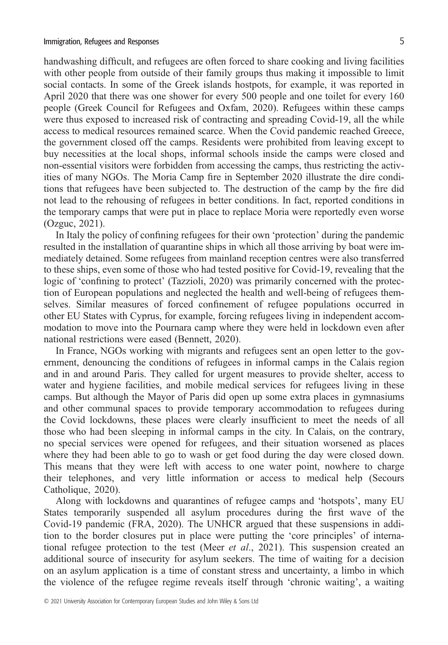handwashing difficult, and refugees are often forced to share cooking and living facilities with other people from outside of their family groups thus making it impossible to limit social contacts. In some of the Greek islands hostpots, for example, it was reported in April 2020 that there was one shower for every 500 people and one toilet for every 160 people (Greek Council for Refugees and Oxfam, 2020). Refugees within these camps were thus exposed to increased risk of contracting and spreading Covid-19, all the while access to medical resources remained scarce. When the Covid pandemic reached Greece, the government closed off the camps. Residents were prohibited from leaving except to buy necessities at the local shops, informal schools inside the camps were closed and non-essential visitors were forbidden from accessing the camps, thus restricting the activities of many NGOs. The Moria Camp fire in September 2020 illustrate the dire conditions that refugees have been subjected to. The destruction of the camp by the fire did not lead to the rehousing of refugees in better conditions. In fact, reported conditions in the temporary camps that were put in place to replace Moria were reportedly even worse (Ozguc, 2021).

In Italy the policy of confining refugees for their own 'protection' during the pandemic resulted in the installation of quarantine ships in which all those arriving by boat were immediately detained. Some refugees from mainland reception centres were also transferred to these ships, even some of those who had tested positive for Covid-19, revealing that the logic of 'confining to protect' (Tazzioli, 2020) was primarily concerned with the protection of European populations and neglected the health and well-being of refugees themselves. Similar measures of forced confinement of refugee populations occurred in other EU States with Cyprus, for example, forcing refugees living in independent accommodation to move into the Pournara camp where they were held in lockdown even after national restrictions were eased (Bennett, 2020).

In France, NGOs working with migrants and refugees sent an open letter to the government, denouncing the conditions of refugees in informal camps in the Calais region and in and around Paris. They called for urgent measures to provide shelter, access to water and hygiene facilities, and mobile medical services for refugees living in these camps. But although the Mayor of Paris did open up some extra places in gymnasiums and other communal spaces to provide temporary accommodation to refugees during the Covid lockdowns, these places were clearly insufficient to meet the needs of all those who had been sleeping in informal camps in the city. In Calais, on the contrary, no special services were opened for refugees, and their situation worsened as places where they had been able to go to wash or get food during the day were closed down. This means that they were left with access to one water point, nowhere to charge their telephones, and very little information or access to medical help (Secours Catholique, 2020).

Along with lockdowns and quarantines of refugee camps and 'hotspots', many EU States temporarily suspended all asylum procedures during the first wave of the Covid-19 pandemic (FRA, 2020). The UNHCR argued that these suspensions in addition to the border closures put in place were putting the 'core principles' of international refugee protection to the test (Meer *et al*., 2021). This suspension created an additional source of insecurity for asylum seekers. The time of waiting for a decision on an asylum application is a time of constant stress and uncertainty, a limbo in which the violence of the refugee regime reveals itself through 'chronic waiting', a waiting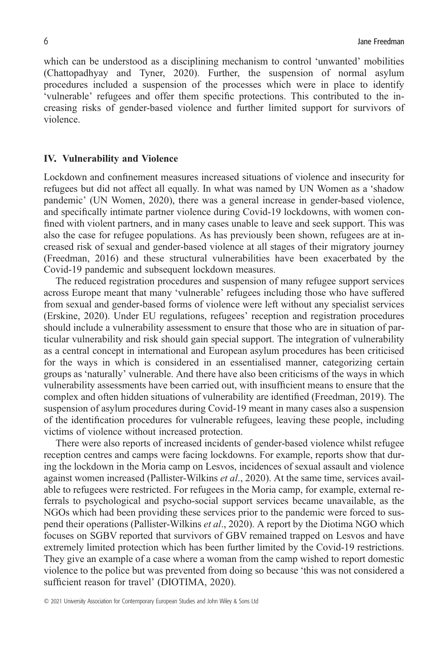which can be understood as a disciplining mechanism to control 'unwanted' mobilities (Chattopadhyay and Tyner, 2020). Further, the suspension of normal asylum procedures included a suspension of the processes which were in place to identify 'vulnerable' refugees and offer them specific protections. This contributed to the increasing risks of gender-based violence and further limited support for survivors of violence.

## **IV. Vulnerability and Violence**

Lockdown and confinement measures increased situations of violence and insecurity for refugees but did not affect all equally. In what was named by UN Women as a 'shadow pandemic' (UN Women, 2020), there was a general increase in gender-based violence, and specifically intimate partner violence during Covid-19 lockdowns, with women confined with violent partners, and in many cases unable to leave and seek support. This was also the case for refugee populations. As has previously been shown, refugees are at increased risk of sexual and gender-based violence at all stages of their migratory journey (Freedman, 2016) and these structural vulnerabilities have been exacerbated by the Covid-19 pandemic and subsequent lockdown measures.

The reduced registration procedures and suspension of many refugee support services across Europe meant that many 'vulnerable' refugees including those who have suffered from sexual and gender-based forms of violence were left without any specialist services (Erskine, 2020). Under EU regulations, refugees' reception and registration procedures should include a vulnerability assessment to ensure that those who are in situation of particular vulnerability and risk should gain special support. The integration of vulnerability as a central concept in international and European asylum procedures has been criticised for the ways in which is considered in an essentialised manner, categorizing certain groups as 'naturally' vulnerable. And there have also been criticisms of the ways in which vulnerability assessments have been carried out, with insufficient means to ensure that the complex and often hidden situations of vulnerability are identified (Freedman, 2019). The suspension of asylum procedures during Covid-19 meant in many cases also a suspension of the identification procedures for vulnerable refugees, leaving these people, including victims of violence without increased protection.

There were also reports of increased incidents of gender-based violence whilst refugee reception centres and camps were facing lockdowns. For example, reports show that during the lockdown in the Moria camp on Lesvos, incidences of sexual assault and violence against women increased (Pallister-Wilkins *et al*., 2020). At the same time, services available to refugees were restricted. For refugees in the Moria camp, for example, external referrals to psychological and psycho-social support services became unavailable, as the NGOs which had been providing these services prior to the pandemic were forced to suspend their operations (Pallister-Wilkins *et al*., 2020). A report by the Diotima NGO which focuses on SGBV reported that survivors of GBV remained trapped on Lesvos and have extremely limited protection which has been further limited by the Covid-19 restrictions. They give an example of a case where a woman from the camp wished to report domestic violence to the police but was prevented from doing so because 'this was not considered a sufficient reason for travel' (DIOTIMA, 2020).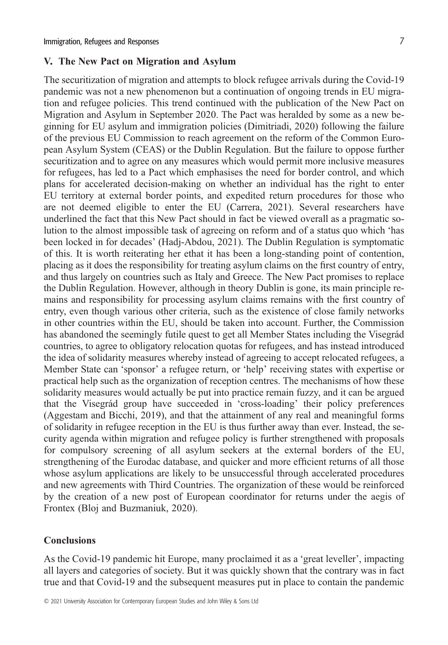# **V. The New Pact on Migration and Asylum**

The securitization of migration and attempts to block refugee arrivals during the Covid-19 pandemic was not a new phenomenon but a continuation of ongoing trends in EU migration and refugee policies. This trend continued with the publication of the New Pact on Migration and Asylum in September 2020. The Pact was heralded by some as a new beginning for EU asylum and immigration policies (Dimitriadi, 2020) following the failure of the previous EU Commission to reach agreement on the reform of the Common European Asylum System (CEAS) or the Dublin Regulation. But the failure to oppose further securitization and to agree on any measures which would permit more inclusive measures for refugees, has led to a Pact which emphasises the need for border control, and which plans for accelerated decision-making on whether an individual has the right to enter EU territory at external border points, and expedited return procedures for those who are not deemed eligible to enter the EU (Carrera, 2021). Several researchers have underlined the fact that this New Pact should in fact be viewed overall as a pragmatic solution to the almost impossible task of agreeing on reform and of a status quo which 'has been locked in for decades' (Hadj-Abdou, 2021). The Dublin Regulation is symptomatic of this. It is worth reiterating her ethat it has been a long-standing point of contention, placing as it does the responsibility for treating asylum claims on the first country of entry, and thus largely on countries such as Italy and Greece. The New Pact promises to replace the Dublin Regulation. However, although in theory Dublin is gone, its main principle remains and responsibility for processing asylum claims remains with the first country of entry, even though various other criteria, such as the existence of close family networks in other countries within the EU, should be taken into account. Further, the Commission has abandoned the seemingly futile quest to get all Member States including the Visegrád countries, to agree to obligatory relocation quotas for refugees, and has instead introduced the idea of solidarity measures whereby instead of agreeing to accept relocated refugees, a Member State can 'sponsor' a refugee return, or 'help' receiving states with expertise or practical help such as the organization of reception centres. The mechanisms of how these solidarity measures would actually be put into practice remain fuzzy, and it can be argued that the Visegrád group have succeeded in 'cross-loading' their policy preferences (Aggestam and Bicchi, 2019), and that the attainment of any real and meaningful forms of solidarity in refugee reception in the EU is thus further away than ever. Instead, the security agenda within migration and refugee policy is further strengthened with proposals for compulsory screening of all asylum seekers at the external borders of the EU, strengthening of the Eurodac database, and quicker and more efficient returns of all those whose asylum applications are likely to be unsuccessful through accelerated procedures and new agreements with Third Countries. The organization of these would be reinforced by the creation of a new post of European coordinator for returns under the aegis of Frontex (Bloj and Buzmaniuk, 2020).

## **Conclusions**

As the Covid-19 pandemic hit Europe, many proclaimed it as a 'great leveller', impacting all layers and categories of society. But it was quickly shown that the contrary was in fact true and that Covid-19 and the subsequent measures put in place to contain the pandemic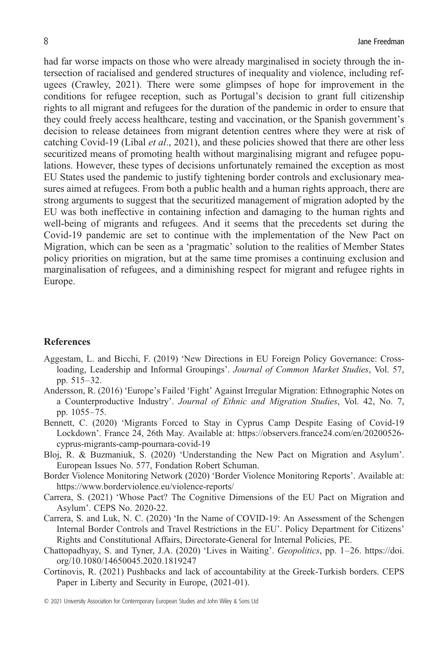had far worse impacts on those who were already marginalised in society through the intersection of racialised and gendered structures of inequality and violence, including refugees (Crawley, 2021). There were some glimpses of hope for improvement in the conditions for refugee reception, such as Portugal's decision to grant full citizenship rights to all migrant and refugees for the duration of the pandemic in order to ensure that they could freely access healthcare, testing and vaccination, or the Spanish government's decision to release detainees from migrant detention centres where they were at risk of catching Covid-19 (Libal *et al*., 2021), and these policies showed that there are other less securitized means of promoting health without marginalising migrant and refugee populations. However, these types of decisions unfortunately remained the exception as most EU States used the pandemic to justify tightening border controls and exclusionary measures aimed at refugees. From both a public health and a human rights approach, there are strong arguments to suggest that the securitized management of migration adopted by the EU was both ineffective in containing infection and damaging to the human rights and well-being of migrants and refugees. And it seems that the precedents set during the Covid-19 pandemic are set to continue with the implementation of the New Pact on Migration, which can be seen as a 'pragmatic' solution to the realities of Member States policy priorities on migration, but at the same time promises a continuing exclusion and marginalisation of refugees, and a diminishing respect for migrant and refugee rights in Europe.

### **References**

- Aggestam, L. and Bicchi, F. (2019) 'New Directions in EU Foreign Policy Governance: Crossloading, Leadership and Informal Groupings'. *Journal of Common Market Studies*, Vol. 57, pp. 515–32.
- Andersson, R. (2016) 'Europe's Failed 'Fight' Against Irregular Migration: Ethnographic Notes on a Counterproductive Industry'. *Journal of Ethnic and Migration Studies*, Vol. 42, No. 7, pp. 1055–75.
- Bennett, C. (2020) 'Migrants Forced to Stay in Cyprus Camp Despite Easing of Covid-19 Lockdown'. France 24, 26th May. Available at: [https://observers.france24.com/en/20200526](https://observers.france24.com/en/20200526-cyprus-migrants-camp-pournara-covid-19) [cyprus-migrants-camp-pournara-covid-19](https://observers.france24.com/en/20200526-cyprus-migrants-camp-pournara-covid-19)
- Bloj, R. & Buzmaniuk, S. (2020) 'Understanding the New Pact on Migration and Asylum'. European Issues No. 577, Fondation Robert Schuman.
- Border Violence Monitoring Network (2020) 'Border Violence Monitoring Reports'. Available at: <https://www.borderviolence.eu/violence-reports/>
- Carrera, S. (2021) 'Whose Pact? The Cognitive Dimensions of the EU Pact on Migration and Asylum'. CEPS No. 2020-22.
- Carrera, S. and Luk, N. C. (2020) 'In the Name of COVID-19: An Assessment of the Schengen Internal Border Controls and Travel Restrictions in the EU'. Policy Department for Citizens' Rights and Constitutional Affairs, Directorate-General for Internal Policies, PE.
- Chattopadhyay, S. and Tyner, J.A. (2020) 'Lives in Waiting'. *Geopolitics*, pp. 1–26. [https://doi.](https://doi.org/10.1080/14650045.2020.1819247) [org/10.1080/14650045.2020.1819247](https://doi.org/10.1080/14650045.2020.1819247)
- Cortinovis, R. (2021) Pushbacks and lack of accountability at the Greek-Turkish borders. CEPS Paper in Liberty and Security in Europe, (2021-01).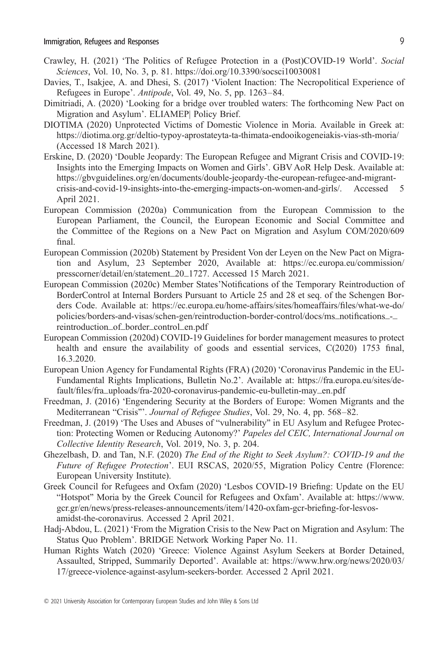- Crawley, H. (2021) 'The Politics of Refugee Protection in a (Post)COVID-19 World'. *Social Sciences*, Vol. 10, No. 3, p. 81.<https://doi.org/10.3390/socsci10030081>
- Davies, T., Isakjee, A. and Dhesi, S. (2017) 'Violent Inaction: The Necropolitical Experience of Refugees in Europe'. *Antipode*, Vol. 49, No. 5, pp. 1263–84.
- Dimitriadi, A. (2020) 'Looking for a bridge over troubled waters: The forthcoming New Pact on Migration and Asylum'. ELIAMEP| Policy Brief.
- DIOTIMA (2020) Unprotected Victims of Domestic Violence in Moria. Available in Greek at: <https://diotima.org.gr/deltio-typoy-aprostateyta-ta-thimata-endooikogeneiakis-vias-sth-moria/> (Accessed 18 March 2021).
- Erskine, D. (2020) 'Double Jeopardy: The European Refugee and Migrant Crisis and COVID-19: Insights into the Emerging Impacts on Women and Girls'. GBV AoR Help Desk. Available at: [https://gbvguidelines.org/en/documents/double-jeopardy-the-european-refugee-and-migrant](https://gbvguidelines.org/en/documents/double-jeopardy-the-european-refugee-and-migrant-crisis-and-covid-19-insights-into-the-emerging-impacts-on-women-and-girls/)[crisis-and-covid-19-insights-into-the-emerging-impacts-on-women-and-girls/.](https://gbvguidelines.org/en/documents/double-jeopardy-the-european-refugee-and-migrant-crisis-and-covid-19-insights-into-the-emerging-impacts-on-women-and-girls/) Accessed 5 April 2021.
- European Commission (2020a) Communication from the European Commission to the European Parliament, the Council, the European Economic and Social Committee and the Committee of the Regions on a New Pact on Migration and Asylum COM/2020/609 final.
- European Commission (2020b) Statement by President Von der Leyen on the New Pact on Migration and Asylum, 23 September 2020, Available at: [https://ec.europa.eu/commission/](https://ec.europa.eu/commission/presscorner/detail/en/statement_20_1727) [presscorner/detail/en/statement\\_20\\_1727](https://ec.europa.eu/commission/presscorner/detail/en/statement_20_1727). Accessed 15 March 2021.
- European Commission (2020c) Member States'Notifications of the Temporary Reintroduction of BorderControl at Internal Borders Pursuant to Article 25 and 28 et seq. of the Schengen Borders Code. Available at: [https://ec.europa.eu/home-affairs/sites/homeaffairs/](https://ec.europa.eu/home-affairs/sites/homeaffairs/files/what-we-do/policies/borders-and-visas/schen-gen/reintroduction-border-control/docs/ms_notifications_-_reintroduction_of_border_control_en.pdf)files/what-we-do/ [policies/borders-and-visas/schen-gen/reintroduction-border-control/docs/ms\\_noti](https://ec.europa.eu/home-affairs/sites/homeaffairs/files/what-we-do/policies/borders-and-visas/schen-gen/reintroduction-border-control/docs/ms_notifications_-_reintroduction_of_border_control_en.pdf)fications\_-\_ [reintroduction\\_of\\_border\\_control\\_en.pdf](https://ec.europa.eu/home-affairs/sites/homeaffairs/files/what-we-do/policies/borders-and-visas/schen-gen/reintroduction-border-control/docs/ms_notifications_-_reintroduction_of_border_control_en.pdf)
- European Commission (2020d) COVID-19 Guidelines for border management measures to protect health and ensure the availability of goods and essential services,  $C(2020)$  1753 final, 16.3.2020.
- European Union Agency for Fundamental Rights (FRA) (2020) 'Coronavirus Pandemic in the EU-Fundamental Rights Implications, Bulletin No.2'. Available at: [https://fra.europa.eu/sites/de](https://fra.europa.eu/sites/default/files/fra_uploads/fra-2020-coronavirus-pandemic-eu-bulletin-may_en.pdf)fault/fi[les/fra\\_uploads/fra-2020-coronavirus-pandemic-eu-bulletin-may\\_en.pdf](https://fra.europa.eu/sites/default/files/fra_uploads/fra-2020-coronavirus-pandemic-eu-bulletin-may_en.pdf)
- Freedman, J. (2016) 'Engendering Security at the Borders of Europe: Women Migrants and the Mediterranean "Crisis"'. *Journal of Refugee Studies*, Vol. 29, No. 4, pp. 568–82.
- Freedman, J. (2019) 'The Uses and Abuses of "vulnerability" in EU Asylum and Refugee Protection: Protecting Women or Reducing Autonomy?' *Papeles del CEIC, International Journal on Collective Identity Research*, Vol. 2019, No. 3, p. 204.
- Ghezelbash, D. and Tan, N.F. (2020) *The End of the Right to Seek Asylum?: COVID-19 and the Future of Refugee Protection*'. EUI RSCAS, 2020/55, Migration Policy Centre (Florence: European University Institute).
- Greek Council for Refugees and Oxfam (2020) 'Lesbos COVID-19 Briefing: Update on the EU "Hotspot" Moria by the Greek Council for Refugees and Oxfam'. Available at: [https://www.](https://www.gcr.gr/en/news/press-releases-announcements/item/1420-oxfam-gcr-briefing-for-lesvos-amidst-the-coronavirus) [gcr.gr/en/news/press-releases-announcements/item/1420-oxfam-gcr-brie](https://www.gcr.gr/en/news/press-releases-announcements/item/1420-oxfam-gcr-briefing-for-lesvos-amidst-the-coronavirus)fing-for-lesvos[amidst-the-coronavirus.](https://www.gcr.gr/en/news/press-releases-announcements/item/1420-oxfam-gcr-briefing-for-lesvos-amidst-the-coronavirus) Accessed 2 April 2021.
- Hadj-Abdou, L. (2021) 'From the Migration Crisis to the New Pact on Migration and Asylum: The Status Quo Problem'. BRIDGE Network Working Paper No. 11.
- Human Rights Watch (2020) 'Greece: Violence Against Asylum Seekers at Border Detained, Assaulted, Stripped, Summarily Deported'. Available at: [https://www.hrw.org/news/2020/03/](https://www.hrw.org/news/2020/03/17/greece-violence-against-asylum-seekers-border) [17/greece-violence-against-asylum-seekers-border.](https://www.hrw.org/news/2020/03/17/greece-violence-against-asylum-seekers-border) Accessed 2 April 2021.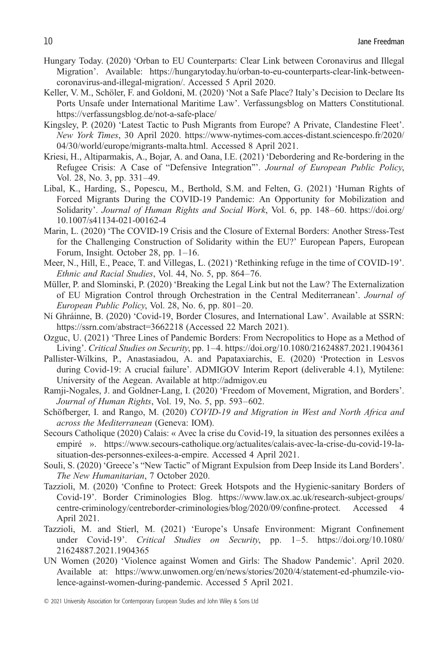- Hungary Today. (2020) 'Orban to EU Counterparts: Clear Link between Coronavirus and Illegal Migration'. Available: [https://hungarytoday.hu/orban-to-eu-counterparts-clear-link-between](https://hungarytoday.hu/orban-to-eu-counterparts-clear-link-between-coronavirus-and-illegal-migration/)[coronavirus-and-illegal-migration/.](https://hungarytoday.hu/orban-to-eu-counterparts-clear-link-between-coronavirus-and-illegal-migration/) Accessed 5 April 2020.
- Keller, V. M., Schöler, F. and Goldoni, M. (2020) 'Not a Safe Place? Italy's Decision to Declare Its Ports Unsafe under International Maritime Law'. Verfassungsblog on Matters Constitutional. <https://verfassungsblog.de/not-a-safe-place/>
- Kingsley, P. (2020) 'Latest Tactic to Push Migrants from Europe? A Private, Clandestine Fleet'. *New York Times*, 30 April 2020. [https://www-nytimes-com.acces-distant.sciencespo.fr/2020/](https://www-nytimes-com.acces-distant.sciencespo.fr/2020/04/30/world/europe/migrants-malta.html) [04/30/world/europe/migrants-malta.html.](https://www-nytimes-com.acces-distant.sciencespo.fr/2020/04/30/world/europe/migrants-malta.html) Accessed 8 April 2021.
- Kriesi, H., Altiparmakis, A., Bojar, A. and Oana, I.E. (2021) 'Debordering and Re-bordering in the Refugee Crisis: A Case of "Defensive Integration"'. *Journal of European Public Policy*, Vol. 28, No. 3, pp. 331–49.
- Libal, K., Harding, S., Popescu, M., Berthold, S.M. and Felten, G. (2021) 'Human Rights of Forced Migrants During the COVID-19 Pandemic: An Opportunity for Mobilization and Solidarity'. *Journal of Human Rights and Social Work*, Vol. 6, pp. 148–60. [https://doi.org/](https://doi.org/10.1007/s41134-021-00162-4) [10.1007/s41134-021-00162-4](https://doi.org/10.1007/s41134-021-00162-4)
- Marin, L. (2020) 'The COVID-19 Crisis and the Closure of External Borders: Another Stress-Test for the Challenging Construction of Solidarity within the EU?' European Papers, European Forum, Insight. October 28, pp. 1–16.
- Meer, N., Hill, E., Peace, T. and Villegas, L. (2021) 'Rethinking refuge in the time of COVID-19'. *Ethnic and Racial Studies*, Vol. 44, No. 5, pp. 864–76.
- Müller, P. and Slominski, P. (2020) 'Breaking the Legal Link but not the Law? The Externalization of EU Migration Control through Orchestration in the Central Mediterranean'. *Journal of European Public Policy*, Vol. 28, No. 6, pp. 801–20.
- Ní Ghráinne, B. (2020) 'Covid-19, Border Closures, and International Law'. Available at SSRN: <https://ssrn.com/abstract=3662218> (Accessed 22 March 2021).
- Ozguc, U. (2021) 'Three Lines of Pandemic Borders: From Necropolitics to Hope as a Method of Living'. *Critical Studies on Security*, pp. 1–4.<https://doi.org/10.1080/21624887.2021.1904361>
- Pallister-Wilkins, P., Anastasiadou, A. and Papataxiarchis, E. (2020) 'Protection in Lesvos during Covid-19: A crucial failure'. ADMIGOV Interim Report (deliverable 4.1), Mytilene: University of the Aegean. Available at<http://admigov.eu>
- Ramji-Nogales, J. and Goldner-Lang, I. (2020) 'Freedom of Movement, Migration, and Borders'. *Journal of Human Rights*, Vol. 19, No. 5, pp. 593–602.
- Schöfberger, I. and Rango, M. (2020) *COVID-19 and Migration in West and North Africa and across the Mediterranean* (Geneva: IOM).
- Secours Catholique (2020) Calais: « Avec la crise du Covid-19, la situation des personnes exilées a empiré ». [https://www.secours-catholique.org/actualites/calais-avec-la-crise-du-covid-19-la](https://www.secours-catholique.org/actualites/calais-avec-la-crise-du-covid-19-la-situation-des-personnes-exilees-a-empire)[situation-des-personnes-exilees-a-empire.](https://www.secours-catholique.org/actualites/calais-avec-la-crise-du-covid-19-la-situation-des-personnes-exilees-a-empire) Accessed 4 April 2021.
- Souli, S. (2020) 'Greece's "New Tactic" of Migrant Expulsion from Deep Inside its Land Borders'. *The New Humanitarian*, 7 October 2020.
- Tazzioli, M. (2020) 'Confine to Protect: Greek Hotspots and the Hygienic-sanitary Borders of Covid-19'. Border Criminologies Blog. [https://www.law.ox.ac.uk/research-subject-groups/](https://www.law.ox.ac.uk/research-subject-groups/centre-criminology/centreborder-criminologies/blog/2020/09/confine-protect) [centre-criminology/centreborder-criminologies/blog/2020/09/con](https://www.law.ox.ac.uk/research-subject-groups/centre-criminology/centreborder-criminologies/blog/2020/09/confine-protect)fine-protect. Accessed 4 April 2021.
- Tazzioli, M. and Stierl, M. (2021) 'Europe's Unsafe Environment: Migrant Confinement under Covid-19'. *Critical Studies on Security*, pp. 1–5. [https://doi.org/10.1080/](https://doi.org/10.1080/21624887.2021.1904365) [21624887.2021.1904365](https://doi.org/10.1080/21624887.2021.1904365)
- UN Women (2020) 'Violence against Women and Girls: The Shadow Pandemic'. April 2020. Available at: [https://www.unwomen.org/en/news/stories/2020/4/statement-ed-phumzile-vio](https://www.unwomen.org/en/news/stories/2020/4/statement-ed-phumzile-violence-against-women-during-pandemic)[lence-against-women-during-pandemic.](https://www.unwomen.org/en/news/stories/2020/4/statement-ed-phumzile-violence-against-women-during-pandemic) Accessed 5 April 2021.